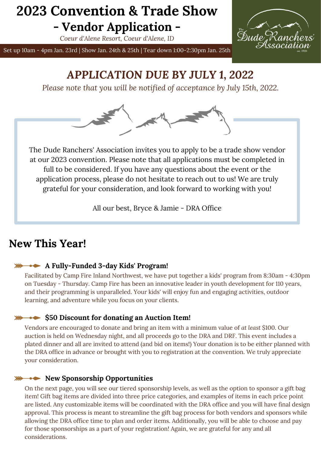*Coeur d'Alene Resort, Coeur d'Alene, ID*



Set up 10am - 4pm Jan. 23rd | Show Jan. 24th & 25th | Tear down 1:00-2:30pm Jan. 25th

## *APPLICATION DUE BY JULY 1, 2022*

*Please note that you will be notified of acceptance by July 15th, 2022.*



The Dude Ranchers' Association invites you to apply to be a trade show vendor at our 2023 convention. Please note that all applications must be completed in full to be considered. If you have any questions about the event or the application process, please do not hesitate to reach out to us! We are truly grateful for your consideration, and look forward to working with you!

All our best, Bryce & Jamie - DRA Office

## **New This Year!**

### **A Fully-Funded 3-day Kids' Program!**

Facilitated by Camp Fire Inland Northwest, we have put together a kids' program from 8:30am - 4:30pm on Tuesday - Thursday. Camp Fire has been an innovative leader in youth development for 110 years, and their programming is unparalleled. Your kids' will enjoy fun and engaging activities, outdoor learning, and adventure while you focus on your clients.

### **\$50 Discount for donating an Auction Item!**

Vendors are encouraged to donate and bring an item with a minimum value of *at least* \$100. Our auction is held on Wednesday night, and all proceeds go to the DRA and DRF. This event includes a plated dinner and all are invited to attend (and bid on items!) Your donation is to be either planned with the DRA office in advance or brought with you to registration at the convention. We truly appreciate your consideration.

### **New Sponsorship Opportunities**

On the next page, you will see our tiered sponsorship levels, as well as the option to sponsor a gift bag item! Gift bag items are divided into three price categories, and examples of items in each price point are listed. Any customizable items will be coordinated with the DRA office and you will have final design approval. This process is meant to streamline the gift bag process for both vendors and sponsors while allowing the DRA office time to plan and order items. Additionally, you will be able to choose and pay for those sponsorships as a part of your registration! Again, we are grateful for any and all considerations.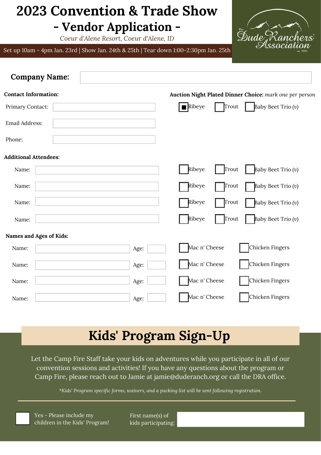*Coeur d'Alene Resort, Coeur d'Alene, ID*

Set up 10am - 4pm Jan. 23rd | Show Jan. 24th & 25th | Tear down 1:00-2:30pm Jan. 25th



| <b>Company Name:</b>         |      |                                                         |       |                      |
|------------------------------|------|---------------------------------------------------------|-------|----------------------|
| <b>Contact Information:</b>  |      | Auction Night Plated Dinner Choice: mark one per person |       |                      |
| Primary Contact:             |      | $\blacksquare$ Ribeye                                   | Trout | Baby Beet Trio $(v)$ |
| Email Address:               |      |                                                         |       |                      |
| Phone:                       |      |                                                         |       |                      |
| <b>Additional Attendees:</b> |      |                                                         |       |                      |
| Name:                        |      | Ribeye                                                  | Trout | Baby Beet Trio (v)   |
| Name:                        |      | Ribeye                                                  | Trout | Baby Beet Trio (v)   |
| Name:                        |      | Ribeye                                                  | Trout | Baby Beet Trio (v)   |
| Name:                        |      | Ribeye                                                  | Trout | Baby Beet Trio (v)   |
| Names and Ages of Kids:      |      |                                                         |       |                      |
| Name:                        | Age: | Mac n' Cheese                                           |       | Chicken Fingers      |
| Name:                        | Age: | Mac n' Cheese                                           |       | Chicken Fingers      |
| Name:                        | Age: | Mac n' Cheese                                           |       | Chicken Fingers      |
| Name:                        | Age: | Mac n' Cheese                                           |       | Chicken Fingers      |

# **Kids' Program Sign-Up**

Let the Camp Fire Staff take your kids on adventures while you participate in all of our convention sessions and activities! If you have any questions about the program or Camp Fire, please reach out to Jamie at jamie@duderanch.org or call the DRA office.

\**Kids' Program specific forms, waivers, and a packing list will be sent following registration.*

Yes - Please include my children in the Kids' Program! First name(s) of kids participating: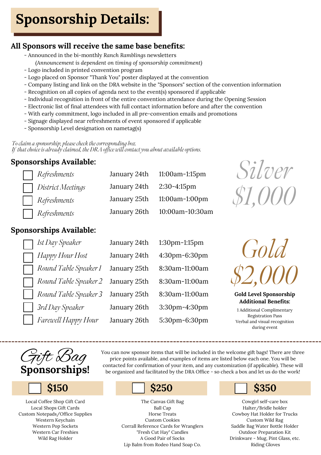# **Sponsorship Details:**

## **All Sponsors will receive the same base benefits:**

- Announced in the bi-monthly *Ranch Ramblings* newsletters *(Announcement is dependent on timing of sponsorship commitment)*
- Logo included in printed convention program
- Logo placed on Sponsor "Thank You" poster displayed at the convention
- Company listing and link on the DRA website in the "Sponsors" section of the convention information
- Recognition on all copies of agenda next to the event(s) sponsored if applicable
- Individual recognition in front of the entire convention attendance during the Opening Session
- Electronic list of final attendees with full contact information before and after the convention
- With early commitment, logo included in all pre-convention emails and promotions
- Signage displayed near refreshments of event sponsored if applicable
- Sponsorship Level designation on nametag(s)

*To claim a sponsorship, please check the corresponding box. If that choice is already claimed, the DRA office will contact you about available options.*

## **Sponsorships Available:**

| Refreshments         |                          | January 24th 11:00am-1:15pm  |
|----------------------|--------------------------|------------------------------|
| District Meetings    | January 24th 2:30-4:15pm |                              |
| $\vert$ Refreshments |                          | January 25th 11:00am-1:00pm  |
| $\vert$ Refreshments |                          | January 26th 10:00am-10:30am |



### **Sponsorships Available:**

| Ist Day Speaker       | January 24th | 1:30pm-1:15pm  |
|-----------------------|--------------|----------------|
| Happy Hour Host       | January 24th | 4:30pm-6:30pm  |
| Round Table Speaker 1 | January 25th | 8:30am-11:00am |
| Round Table Speaker 2 | January 25th | 8:30am-11:00am |
| Round Table Speaker 3 | January 25th | 8:30am-11:00am |
| 3rd Day Speaker       | January 26th | 3:30pm-4:30pm  |
| Farewell Happy Hour   | January 26th | 5:30pm-6:30pm  |



**Gold Level Sponsorship Additional Benefits:**

1 Additional Complimentary Registration Pass Verbal and visual recognition during event



Local Coffee Shop Gift Card Local Shops Gift Cards Custom Notepads/Office Supplies Western Keychain Western Pop Sockets Western Car Freshies Wild Rag Holder

You can now sponsor items that will be included in the welcome gift bags! There are three price points available, and examples of items are listed below each one. You will be contacted for confirmation of your item, and any customization (if applicable). These will be organized and facilitated by the DRA Office - so check a box and let us do the work!

The Canvas Gift Bag Ball Cap Horse Treats Custom Cookies Corrall Reference Cards for Wranglers "Fresh Cut Hay" Candles A Good Pair of Socks Lip Balm from Rodeo Hand Soap Co.

## $$150$  **\$250 \$350**

Cowgirl self-care box Halter/Bridle holder Cowboy Hat Holder for Trucks Custom Wild Rag Saddle Bag Water Bottle Holder Outdoor Preparation Kit Drinkware - Mug, Pint Glass, etc. Riding Gloves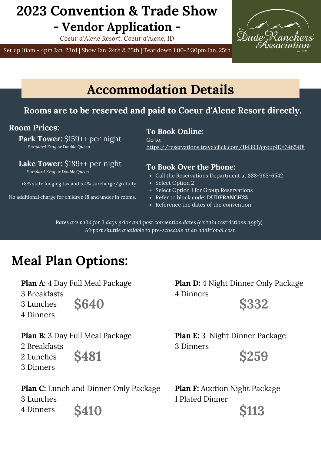*Coeur d'Alene Resort, Coeur d'Alene, ID*

Set up 10am - 4pm Jan. 23rd | Show Jan. 24th & 25th | Tear down 1:00-2:30pm Jan. 25th



## **Accommodation Details**

### **Rooms are to be reserved and paid to Coeur d'Alene Resort directly.**

**Room Prices:**

 **Park Tower:** \$159++ per night

 *Standard King or Double Queen*

 **Lake Tower:** \$189++ per night

*Standard King or Double Queen*

+8% state lodging tax and 5.4% surcharge/gratuity

No additional charge for children 18 and under in rooms.

**To Book Online:** Go to: <https://reservations.travelclick.com/114393?groupID=3465418>

### **To Book Over the Phone:**

- Call the Reservations Department at 888-965-6542
- Select Option 2
- Select Option 1 for Group Reservations
- Refer to block code: **DUDERANCH23**
- Reference the dates of the convention

3 Dinners

*Rates are valid for 3 days prior and post convention dates (certain restrictions apply). Airport shuttle available to pre-schedule at an additional cost.*

# **Meal Plan Options:**

**Plan A:** 4 Day Full Meal Package

3 Breakfasts

4 Dinners

3 Lunches

**\$640**

**Plan D:** 4 Night Dinner Only Package 4 Dinners

**\$332**

**\$259**

**Plan B:** 3 Day Full Meal Package

2 Breakfasts

- 2 Lunches
- 3 Dinners

**\$481**

**Plan C:** Lunch and Dinner Only Package 3 Lunches 4 Dinners **\$410**

**Plan F:** Auction Night Package 1 Plated Dinner

**Plan E:** 3 Night Dinner Package

**\$113**